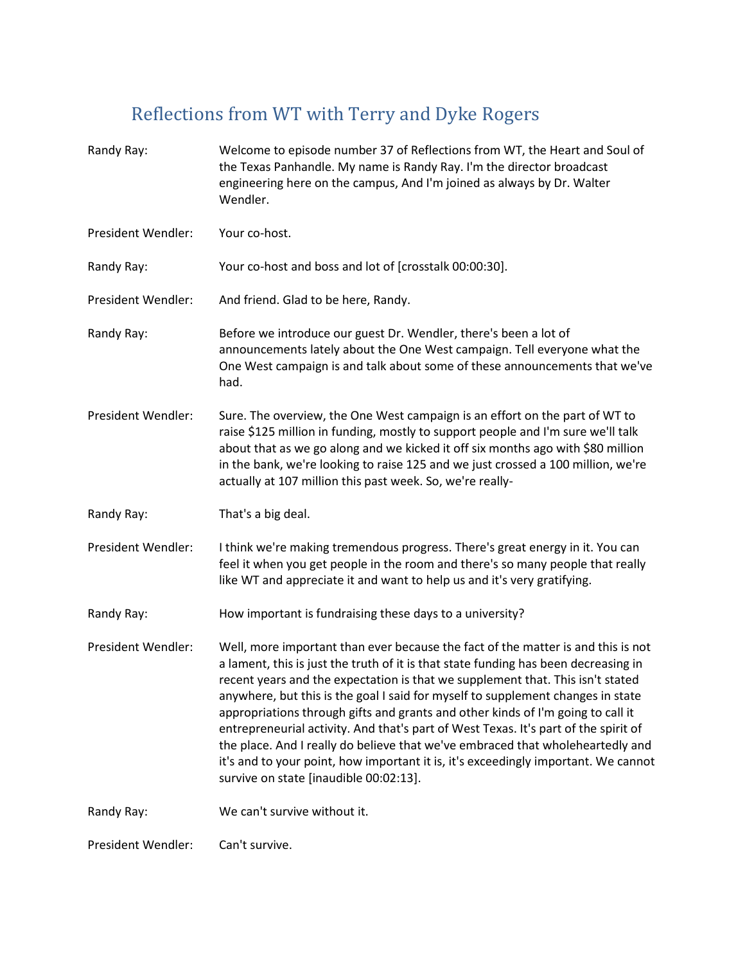## Reflections from WT with Terry and Dyke Rogers

Randy Ray: Welcome to episode number 37 of Reflections from WT, the Heart and Soul of the Texas Panhandle. My name is Randy Ray. I'm the director broadcast engineering here on the campus, And I'm joined as always by Dr. Walter Wendler. President Wendler: Your co-host. Randy Ray: Your co-host and boss and lot of [crosstalk 00:00:30]. President Wendler: And friend. Glad to be here, Randy. Randy Ray: Before we introduce our guest Dr. Wendler, there's been a lot of announcements lately about the One West campaign. Tell everyone what the One West campaign is and talk about some of these announcements that we've had. President Wendler: Sure. The overview, the One West campaign is an effort on the part of WT to raise \$125 million in funding, mostly to support people and I'm sure we'll talk about that as we go along and we kicked it off six months ago with \$80 million in the bank, we're looking to raise 125 and we just crossed a 100 million, we're actually at 107 million this past week. So, we're really-Randy Ray: That's a big deal. President Wendler: I think we're making tremendous progress. There's great energy in it. You can feel it when you get people in the room and there's so many people that really like WT and appreciate it and want to help us and it's very gratifying. Randy Ray: How important is fundraising these days to a university? President Wendler: Well, more important than ever because the fact of the matter is and this is not a lament, this is just the truth of it is that state funding has been decreasing in recent years and the expectation is that we supplement that. This isn't stated anywhere, but this is the goal I said for myself to supplement changes in state appropriations through gifts and grants and other kinds of I'm going to call it entrepreneurial activity. And that's part of West Texas. It's part of the spirit of the place. And I really do believe that we've embraced that wholeheartedly and it's and to your point, how important it is, it's exceedingly important. We cannot survive on state [inaudible 00:02:13]. Randy Ray: We can't survive without it. President Wendler: Can't survive.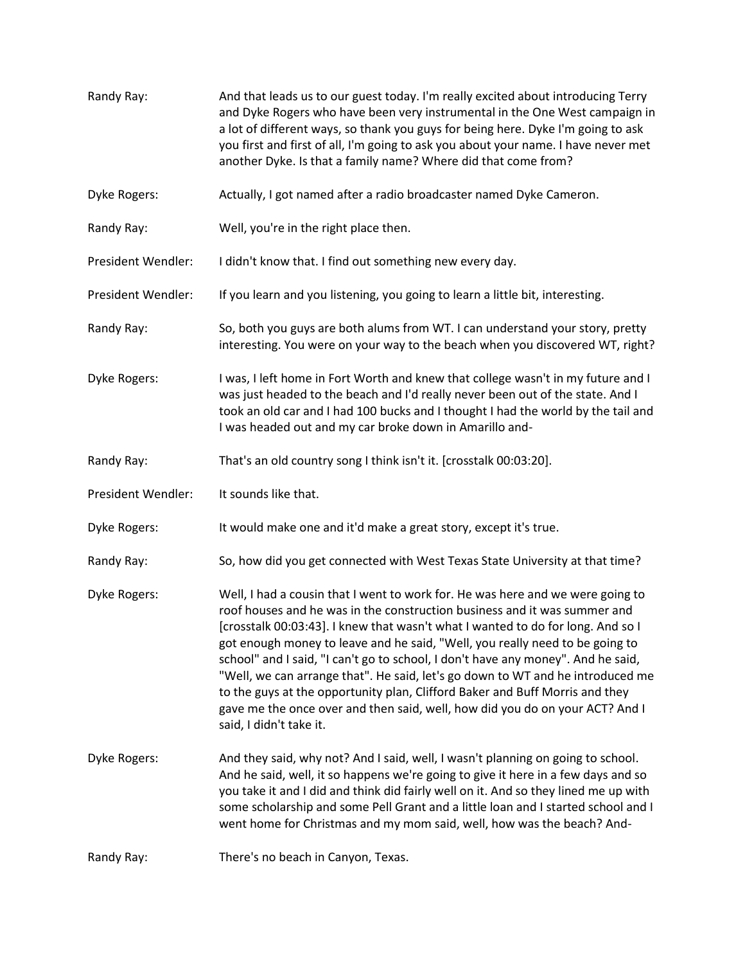Randy Ray: And that leads us to our guest today. I'm really excited about introducing Terry and Dyke Rogers who have been very instrumental in the One West campaign in a lot of different ways, so thank you guys for being here. Dyke I'm going to ask you first and first of all, I'm going to ask you about your name. I have never met another Dyke. Is that a family name? Where did that come from? Dyke Rogers: Actually, I got named after a radio broadcaster named Dyke Cameron. Randy Ray: Well, you're in the right place then. President Wendler: I didn't know that. I find out something new every day. President Wendler: If you learn and you listening, you going to learn a little bit, interesting. Randy Ray: So, both you guys are both alums from WT. I can understand your story, pretty interesting. You were on your way to the beach when you discovered WT, right? Dyke Rogers: I was, I left home in Fort Worth and knew that college wasn't in my future and I was just headed to the beach and I'd really never been out of the state. And I took an old car and I had 100 bucks and I thought I had the world by the tail and I was headed out and my car broke down in Amarillo and-Randy Ray: That's an old country song I think isn't it. [crosstalk 00:03:20]. President Wendler: It sounds like that. Dyke Rogers: It would make one and it'd make a great story, except it's true. Randy Ray: So, how did you get connected with West Texas State University at that time? Dyke Rogers: Well, I had a cousin that I went to work for. He was here and we were going to roof houses and he was in the construction business and it was summer and [crosstalk 00:03:43]. I knew that wasn't what I wanted to do for long. And so I got enough money to leave and he said, "Well, you really need to be going to school" and I said, "I can't go to school, I don't have any money". And he said, "Well, we can arrange that". He said, let's go down to WT and he introduced me to the guys at the opportunity plan, Clifford Baker and Buff Morris and they gave me the once over and then said, well, how did you do on your ACT? And I said, I didn't take it. Dyke Rogers: And they said, why not? And I said, well, I wasn't planning on going to school. And he said, well, it so happens we're going to give it here in a few days and so you take it and I did and think did fairly well on it. And so they lined me up with some scholarship and some Pell Grant and a little loan and I started school and I went home for Christmas and my mom said, well, how was the beach? And-Randy Ray: There's no beach in Canyon, Texas.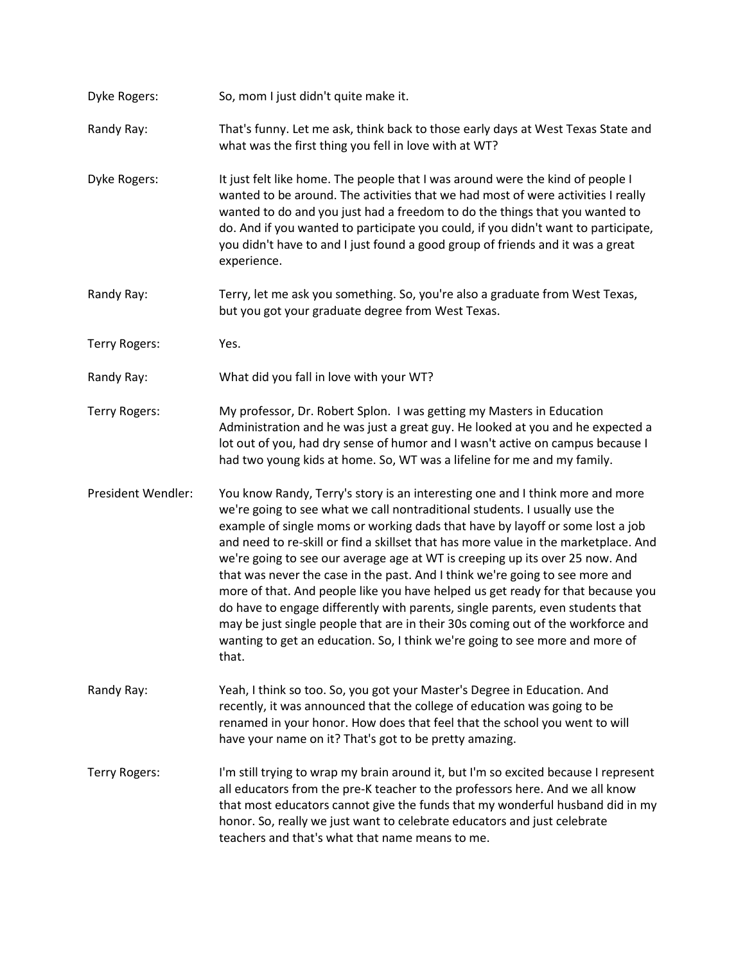| Dyke Rogers:         | So, mom I just didn't quite make it.                                                                                                                                                                                                                                                                                                                                                                                                                                                                                                                                                                                                                                                                                                                                                                                                                 |
|----------------------|------------------------------------------------------------------------------------------------------------------------------------------------------------------------------------------------------------------------------------------------------------------------------------------------------------------------------------------------------------------------------------------------------------------------------------------------------------------------------------------------------------------------------------------------------------------------------------------------------------------------------------------------------------------------------------------------------------------------------------------------------------------------------------------------------------------------------------------------------|
| Randy Ray:           | That's funny. Let me ask, think back to those early days at West Texas State and<br>what was the first thing you fell in love with at WT?                                                                                                                                                                                                                                                                                                                                                                                                                                                                                                                                                                                                                                                                                                            |
| Dyke Rogers:         | It just felt like home. The people that I was around were the kind of people I<br>wanted to be around. The activities that we had most of were activities I really<br>wanted to do and you just had a freedom to do the things that you wanted to<br>do. And if you wanted to participate you could, if you didn't want to participate,<br>you didn't have to and I just found a good group of friends and it was a great<br>experience.                                                                                                                                                                                                                                                                                                                                                                                                             |
| Randy Ray:           | Terry, let me ask you something. So, you're also a graduate from West Texas,<br>but you got your graduate degree from West Texas.                                                                                                                                                                                                                                                                                                                                                                                                                                                                                                                                                                                                                                                                                                                    |
| Terry Rogers:        | Yes.                                                                                                                                                                                                                                                                                                                                                                                                                                                                                                                                                                                                                                                                                                                                                                                                                                                 |
| Randy Ray:           | What did you fall in love with your WT?                                                                                                                                                                                                                                                                                                                                                                                                                                                                                                                                                                                                                                                                                                                                                                                                              |
| Terry Rogers:        | My professor, Dr. Robert Splon. I was getting my Masters in Education<br>Administration and he was just a great guy. He looked at you and he expected a<br>lot out of you, had dry sense of humor and I wasn't active on campus because I<br>had two young kids at home. So, WT was a lifeline for me and my family.                                                                                                                                                                                                                                                                                                                                                                                                                                                                                                                                 |
| President Wendler:   | You know Randy, Terry's story is an interesting one and I think more and more<br>we're going to see what we call nontraditional students. I usually use the<br>example of single moms or working dads that have by layoff or some lost a job<br>and need to re-skill or find a skillset that has more value in the marketplace. And<br>we're going to see our average age at WT is creeping up its over 25 now. And<br>that was never the case in the past. And I think we're going to see more and<br>more of that. And people like you have helped us get ready for that because you<br>do have to engage differently with parents, single parents, even students that<br>may be just single people that are in their 30s coming out of the workforce and<br>wanting to get an education. So, I think we're going to see more and more of<br>that. |
| Randy Ray:           | Yeah, I think so too. So, you got your Master's Degree in Education. And<br>recently, it was announced that the college of education was going to be<br>renamed in your honor. How does that feel that the school you went to will<br>have your name on it? That's got to be pretty amazing.                                                                                                                                                                                                                                                                                                                                                                                                                                                                                                                                                         |
| <b>Terry Rogers:</b> | I'm still trying to wrap my brain around it, but I'm so excited because I represent<br>all educators from the pre-K teacher to the professors here. And we all know<br>that most educators cannot give the funds that my wonderful husband did in my<br>honor. So, really we just want to celebrate educators and just celebrate<br>teachers and that's what that name means to me.                                                                                                                                                                                                                                                                                                                                                                                                                                                                  |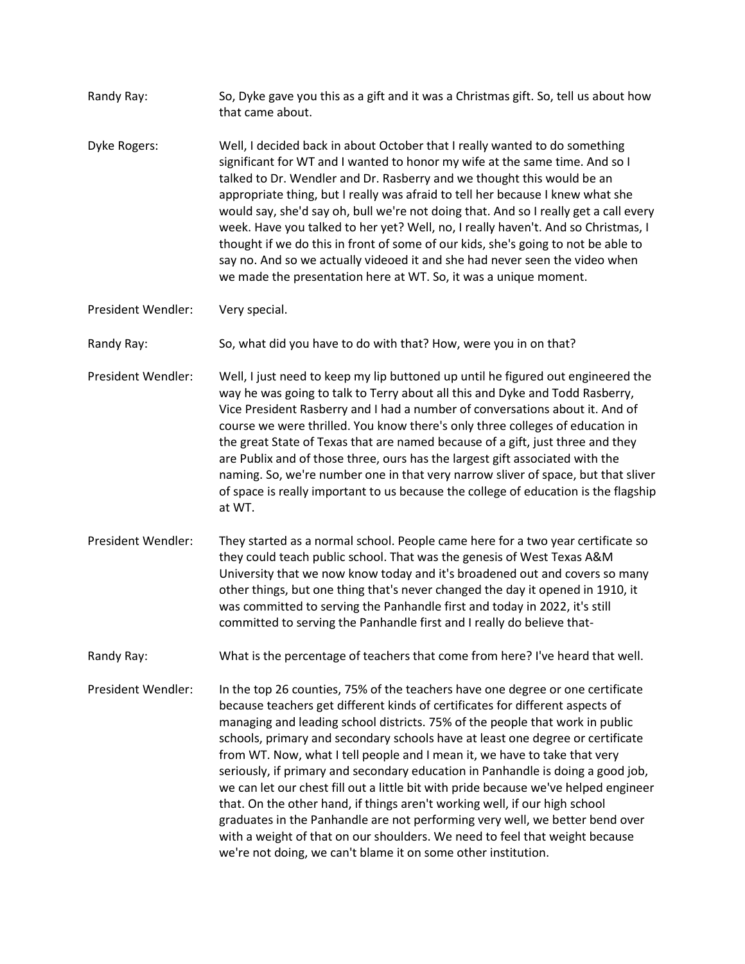| Randy Ray:         | So, Dyke gave you this as a gift and it was a Christmas gift. So, tell us about how<br>that came about.                                                                                                                                                                                                                                                                                                                                                                                                                                                                                                                                                                                                                                                                                                                                                                                                |
|--------------------|--------------------------------------------------------------------------------------------------------------------------------------------------------------------------------------------------------------------------------------------------------------------------------------------------------------------------------------------------------------------------------------------------------------------------------------------------------------------------------------------------------------------------------------------------------------------------------------------------------------------------------------------------------------------------------------------------------------------------------------------------------------------------------------------------------------------------------------------------------------------------------------------------------|
| Dyke Rogers:       | Well, I decided back in about October that I really wanted to do something<br>significant for WT and I wanted to honor my wife at the same time. And so I<br>talked to Dr. Wendler and Dr. Rasberry and we thought this would be an<br>appropriate thing, but I really was afraid to tell her because I knew what she<br>would say, she'd say oh, bull we're not doing that. And so I really get a call every<br>week. Have you talked to her yet? Well, no, I really haven't. And so Christmas, I<br>thought if we do this in front of some of our kids, she's going to not be able to<br>say no. And so we actually videoed it and she had never seen the video when<br>we made the presentation here at WT. So, it was a unique moment.                                                                                                                                                             |
| President Wendler: | Very special.                                                                                                                                                                                                                                                                                                                                                                                                                                                                                                                                                                                                                                                                                                                                                                                                                                                                                          |
| Randy Ray:         | So, what did you have to do with that? How, were you in on that?                                                                                                                                                                                                                                                                                                                                                                                                                                                                                                                                                                                                                                                                                                                                                                                                                                       |
| President Wendler: | Well, I just need to keep my lip buttoned up until he figured out engineered the<br>way he was going to talk to Terry about all this and Dyke and Todd Rasberry,<br>Vice President Rasberry and I had a number of conversations about it. And of<br>course we were thrilled. You know there's only three colleges of education in<br>the great State of Texas that are named because of a gift, just three and they<br>are Publix and of those three, ours has the largest gift associated with the<br>naming. So, we're number one in that very narrow sliver of space, but that sliver<br>of space is really important to us because the college of education is the flagship<br>at WT.                                                                                                                                                                                                              |
| President Wendler: | They started as a normal school. People came here for a two year certificate so<br>they could teach public school. That was the genesis of West Texas A&M<br>University that we now know today and it's broadened out and covers so many<br>other things, but one thing that's never changed the day it opened in 1910, it<br>was committed to serving the Panhandle first and today in 2022, it's still<br>committed to serving the Panhandle first and I really do believe that-                                                                                                                                                                                                                                                                                                                                                                                                                     |
| Randy Ray:         | What is the percentage of teachers that come from here? I've heard that well.                                                                                                                                                                                                                                                                                                                                                                                                                                                                                                                                                                                                                                                                                                                                                                                                                          |
| President Wendler: | In the top 26 counties, 75% of the teachers have one degree or one certificate<br>because teachers get different kinds of certificates for different aspects of<br>managing and leading school districts. 75% of the people that work in public<br>schools, primary and secondary schools have at least one degree or certificate<br>from WT. Now, what I tell people and I mean it, we have to take that very<br>seriously, if primary and secondary education in Panhandle is doing a good job,<br>we can let our chest fill out a little bit with pride because we've helped engineer<br>that. On the other hand, if things aren't working well, if our high school<br>graduates in the Panhandle are not performing very well, we better bend over<br>with a weight of that on our shoulders. We need to feel that weight because<br>we're not doing, we can't blame it on some other institution. |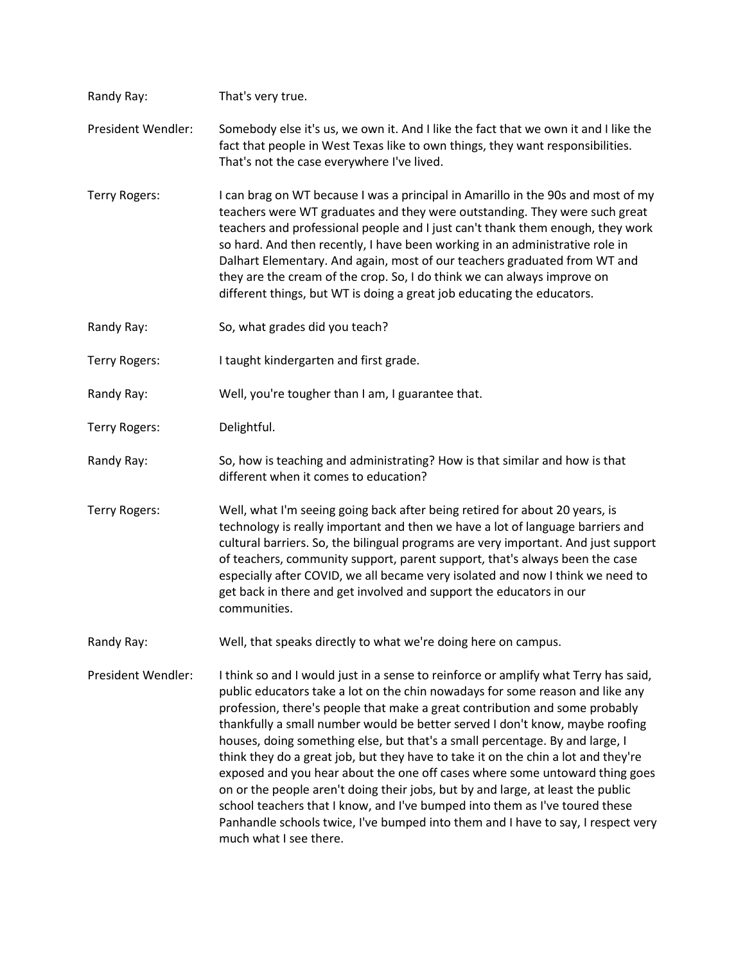| Randy Ray:         | That's very true.                                                                                                                                                                                                                                                                                                                                                                                                                                                                                                                                                                                                                                                                                                                                                                                                                                                       |
|--------------------|-------------------------------------------------------------------------------------------------------------------------------------------------------------------------------------------------------------------------------------------------------------------------------------------------------------------------------------------------------------------------------------------------------------------------------------------------------------------------------------------------------------------------------------------------------------------------------------------------------------------------------------------------------------------------------------------------------------------------------------------------------------------------------------------------------------------------------------------------------------------------|
| President Wendler: | Somebody else it's us, we own it. And I like the fact that we own it and I like the<br>fact that people in West Texas like to own things, they want responsibilities.<br>That's not the case everywhere I've lived.                                                                                                                                                                                                                                                                                                                                                                                                                                                                                                                                                                                                                                                     |
| Terry Rogers:      | I can brag on WT because I was a principal in Amarillo in the 90s and most of my<br>teachers were WT graduates and they were outstanding. They were such great<br>teachers and professional people and I just can't thank them enough, they work<br>so hard. And then recently, I have been working in an administrative role in<br>Dalhart Elementary. And again, most of our teachers graduated from WT and<br>they are the cream of the crop. So, I do think we can always improve on<br>different things, but WT is doing a great job educating the educators.                                                                                                                                                                                                                                                                                                      |
| Randy Ray:         | So, what grades did you teach?                                                                                                                                                                                                                                                                                                                                                                                                                                                                                                                                                                                                                                                                                                                                                                                                                                          |
| Terry Rogers:      | I taught kindergarten and first grade.                                                                                                                                                                                                                                                                                                                                                                                                                                                                                                                                                                                                                                                                                                                                                                                                                                  |
| Randy Ray:         | Well, you're tougher than I am, I guarantee that.                                                                                                                                                                                                                                                                                                                                                                                                                                                                                                                                                                                                                                                                                                                                                                                                                       |
| Terry Rogers:      | Delightful.                                                                                                                                                                                                                                                                                                                                                                                                                                                                                                                                                                                                                                                                                                                                                                                                                                                             |
| Randy Ray:         | So, how is teaching and administrating? How is that similar and how is that<br>different when it comes to education?                                                                                                                                                                                                                                                                                                                                                                                                                                                                                                                                                                                                                                                                                                                                                    |
| Terry Rogers:      | Well, what I'm seeing going back after being retired for about 20 years, is<br>technology is really important and then we have a lot of language barriers and<br>cultural barriers. So, the bilingual programs are very important. And just support<br>of teachers, community support, parent support, that's always been the case<br>especially after COVID, we all became very isolated and now I think we need to<br>get back in there and get involved and support the educators in our<br>communities.                                                                                                                                                                                                                                                                                                                                                             |
| Randy Ray:         | Well, that speaks directly to what we're doing here on campus.                                                                                                                                                                                                                                                                                                                                                                                                                                                                                                                                                                                                                                                                                                                                                                                                          |
| President Wendler: | I think so and I would just in a sense to reinforce or amplify what Terry has said,<br>public educators take a lot on the chin nowadays for some reason and like any<br>profession, there's people that make a great contribution and some probably<br>thankfully a small number would be better served I don't know, maybe roofing<br>houses, doing something else, but that's a small percentage. By and large, I<br>think they do a great job, but they have to take it on the chin a lot and they're<br>exposed and you hear about the one off cases where some untoward thing goes<br>on or the people aren't doing their jobs, but by and large, at least the public<br>school teachers that I know, and I've bumped into them as I've toured these<br>Panhandle schools twice, I've bumped into them and I have to say, I respect very<br>much what I see there. |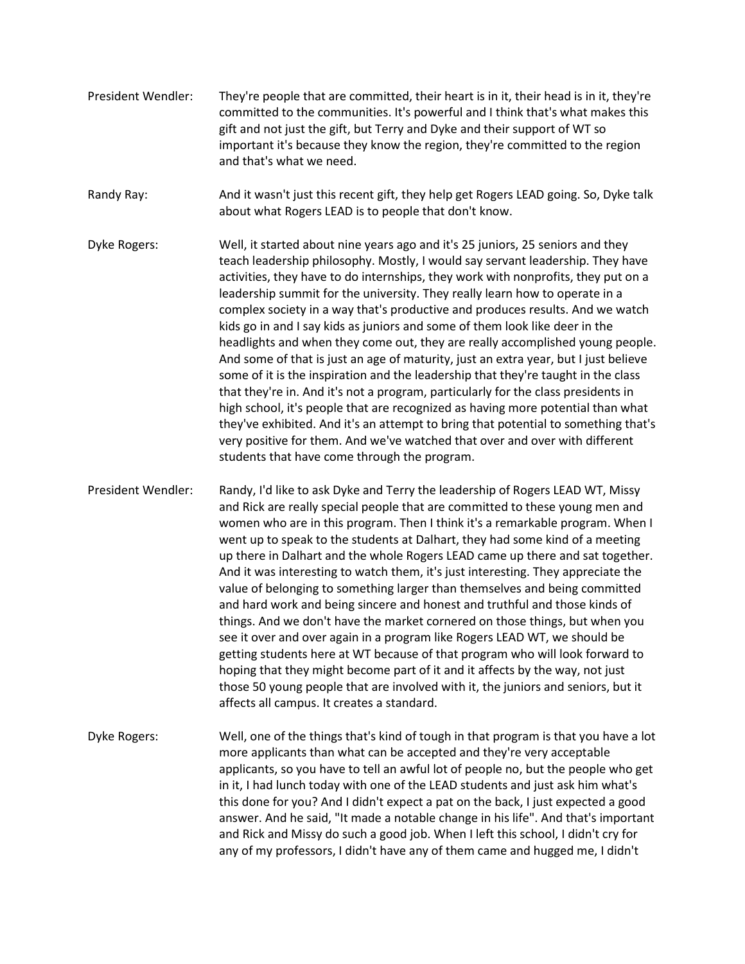- President Wendler: They're people that are committed, their heart is in it, their head is in it, they're committed to the communities. It's powerful and I think that's what makes this gift and not just the gift, but Terry and Dyke and their support of WT so important it's because they know the region, they're committed to the region and that's what we need.
- Randy Ray: And it wasn't just this recent gift, they help get Rogers LEAD going. So, Dyke talk about what Rogers LEAD is to people that don't know.
- Dyke Rogers: Well, it started about nine years ago and it's 25 juniors, 25 seniors and they teach leadership philosophy. Mostly, I would say servant leadership. They have activities, they have to do internships, they work with nonprofits, they put on a leadership summit for the university. They really learn how to operate in a complex society in a way that's productive and produces results. And we watch kids go in and I say kids as juniors and some of them look like deer in the headlights and when they come out, they are really accomplished young people. And some of that is just an age of maturity, just an extra year, but I just believe some of it is the inspiration and the leadership that they're taught in the class that they're in. And it's not a program, particularly for the class presidents in high school, it's people that are recognized as having more potential than what they've exhibited. And it's an attempt to bring that potential to something that's very positive for them. And we've watched that over and over with different students that have come through the program.
- President Wendler: Randy, I'd like to ask Dyke and Terry the leadership of Rogers LEAD WT, Missy and Rick are really special people that are committed to these young men and women who are in this program. Then I think it's a remarkable program. When I went up to speak to the students at Dalhart, they had some kind of a meeting up there in Dalhart and the whole Rogers LEAD came up there and sat together. And it was interesting to watch them, it's just interesting. They appreciate the value of belonging to something larger than themselves and being committed and hard work and being sincere and honest and truthful and those kinds of things. And we don't have the market cornered on those things, but when you see it over and over again in a program like Rogers LEAD WT, we should be getting students here at WT because of that program who will look forward to hoping that they might become part of it and it affects by the way, not just those 50 young people that are involved with it, the juniors and seniors, but it affects all campus. It creates a standard.
- Dyke Rogers: Well, one of the things that's kind of tough in that program is that you have a lot more applicants than what can be accepted and they're very acceptable applicants, so you have to tell an awful lot of people no, but the people who get in it, I had lunch today with one of the LEAD students and just ask him what's this done for you? And I didn't expect a pat on the back, I just expected a good answer. And he said, "It made a notable change in his life". And that's important and Rick and Missy do such a good job. When I left this school, I didn't cry for any of my professors, I didn't have any of them came and hugged me, I didn't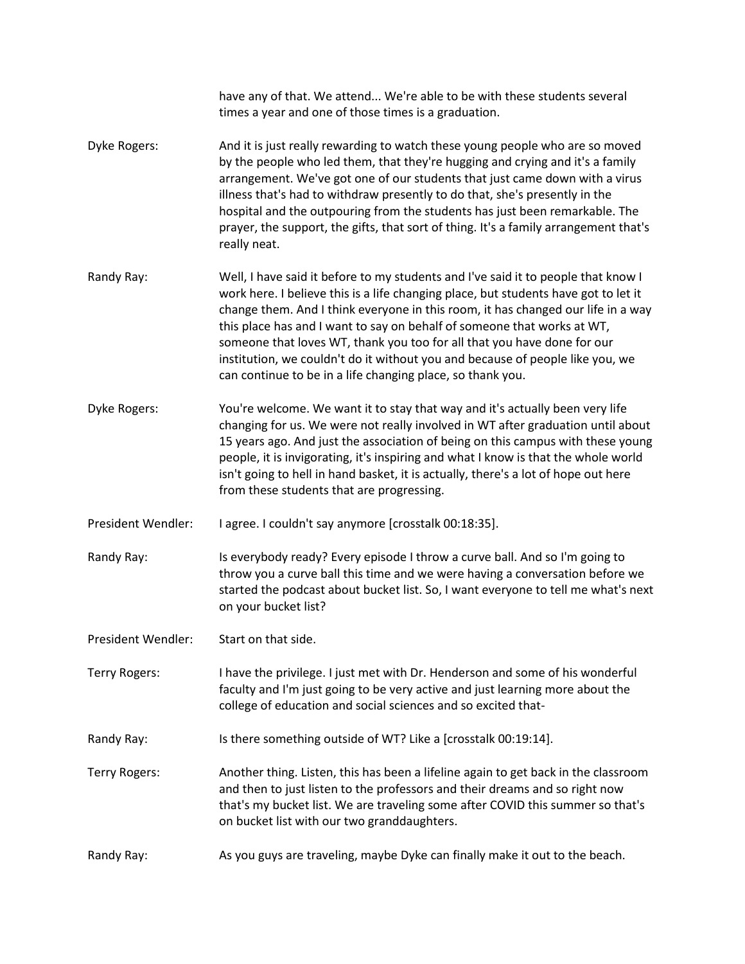|                    | have any of that. We attend We're able to be with these students several<br>times a year and one of those times is a graduation.                                                                                                                                                                                                                                                                                                                                                                                                                                  |
|--------------------|-------------------------------------------------------------------------------------------------------------------------------------------------------------------------------------------------------------------------------------------------------------------------------------------------------------------------------------------------------------------------------------------------------------------------------------------------------------------------------------------------------------------------------------------------------------------|
| Dyke Rogers:       | And it is just really rewarding to watch these young people who are so moved<br>by the people who led them, that they're hugging and crying and it's a family<br>arrangement. We've got one of our students that just came down with a virus<br>illness that's had to withdraw presently to do that, she's presently in the<br>hospital and the outpouring from the students has just been remarkable. The<br>prayer, the support, the gifts, that sort of thing. It's a family arrangement that's<br>really neat.                                                |
| Randy Ray:         | Well, I have said it before to my students and I've said it to people that know I<br>work here. I believe this is a life changing place, but students have got to let it<br>change them. And I think everyone in this room, it has changed our life in a way<br>this place has and I want to say on behalf of someone that works at WT,<br>someone that loves WT, thank you too for all that you have done for our<br>institution, we couldn't do it without you and because of people like you, we<br>can continue to be in a life changing place, so thank you. |
| Dyke Rogers:       | You're welcome. We want it to stay that way and it's actually been very life<br>changing for us. We were not really involved in WT after graduation until about<br>15 years ago. And just the association of being on this campus with these young<br>people, it is invigorating, it's inspiring and what I know is that the whole world<br>isn't going to hell in hand basket, it is actually, there's a lot of hope out here<br>from these students that are progressing.                                                                                       |
| President Wendler: | I agree. I couldn't say anymore [crosstalk 00:18:35].                                                                                                                                                                                                                                                                                                                                                                                                                                                                                                             |
| Randy Ray:         | Is everybody ready? Every episode I throw a curve ball. And so I'm going to<br>throw you a curve ball this time and we were having a conversation before we<br>started the podcast about bucket list. So, I want everyone to tell me what's next<br>on your bucket list?                                                                                                                                                                                                                                                                                          |
| President Wendler: | Start on that side.                                                                                                                                                                                                                                                                                                                                                                                                                                                                                                                                               |
| Terry Rogers:      | I have the privilege. I just met with Dr. Henderson and some of his wonderful<br>faculty and I'm just going to be very active and just learning more about the<br>college of education and social sciences and so excited that-                                                                                                                                                                                                                                                                                                                                   |
| Randy Ray:         | Is there something outside of WT? Like a [crosstalk 00:19:14].                                                                                                                                                                                                                                                                                                                                                                                                                                                                                                    |
| Terry Rogers:      | Another thing. Listen, this has been a lifeline again to get back in the classroom<br>and then to just listen to the professors and their dreams and so right now<br>that's my bucket list. We are traveling some after COVID this summer so that's<br>on bucket list with our two granddaughters.                                                                                                                                                                                                                                                                |
| Randy Ray:         | As you guys are traveling, maybe Dyke can finally make it out to the beach.                                                                                                                                                                                                                                                                                                                                                                                                                                                                                       |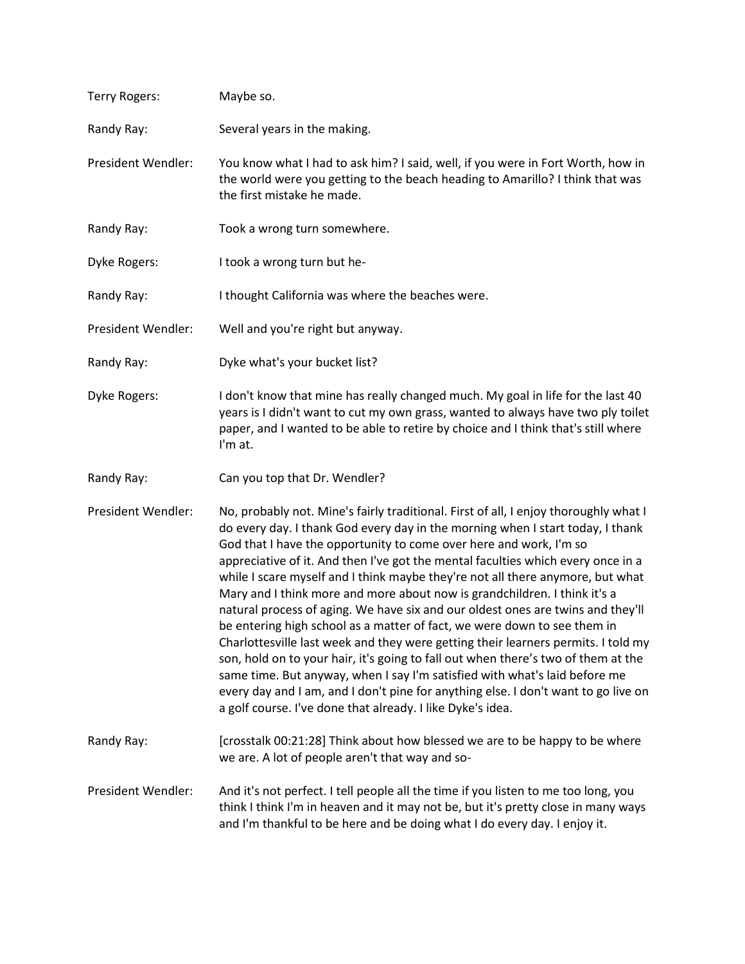| <b>Terry Rogers:</b> | Maybe so.                                                                                                                                                                                                                                                                                                                                                                                                                                                                                                                                                                                                                                                                                                                                                                                                                                                                                                                                                                                                                                                                  |
|----------------------|----------------------------------------------------------------------------------------------------------------------------------------------------------------------------------------------------------------------------------------------------------------------------------------------------------------------------------------------------------------------------------------------------------------------------------------------------------------------------------------------------------------------------------------------------------------------------------------------------------------------------------------------------------------------------------------------------------------------------------------------------------------------------------------------------------------------------------------------------------------------------------------------------------------------------------------------------------------------------------------------------------------------------------------------------------------------------|
| Randy Ray:           | Several years in the making.                                                                                                                                                                                                                                                                                                                                                                                                                                                                                                                                                                                                                                                                                                                                                                                                                                                                                                                                                                                                                                               |
| President Wendler:   | You know what I had to ask him? I said, well, if you were in Fort Worth, how in<br>the world were you getting to the beach heading to Amarillo? I think that was<br>the first mistake he made.                                                                                                                                                                                                                                                                                                                                                                                                                                                                                                                                                                                                                                                                                                                                                                                                                                                                             |
| Randy Ray:           | Took a wrong turn somewhere.                                                                                                                                                                                                                                                                                                                                                                                                                                                                                                                                                                                                                                                                                                                                                                                                                                                                                                                                                                                                                                               |
| Dyke Rogers:         | I took a wrong turn but he-                                                                                                                                                                                                                                                                                                                                                                                                                                                                                                                                                                                                                                                                                                                                                                                                                                                                                                                                                                                                                                                |
| Randy Ray:           | I thought California was where the beaches were.                                                                                                                                                                                                                                                                                                                                                                                                                                                                                                                                                                                                                                                                                                                                                                                                                                                                                                                                                                                                                           |
| President Wendler:   | Well and you're right but anyway.                                                                                                                                                                                                                                                                                                                                                                                                                                                                                                                                                                                                                                                                                                                                                                                                                                                                                                                                                                                                                                          |
| Randy Ray:           | Dyke what's your bucket list?                                                                                                                                                                                                                                                                                                                                                                                                                                                                                                                                                                                                                                                                                                                                                                                                                                                                                                                                                                                                                                              |
| Dyke Rogers:         | I don't know that mine has really changed much. My goal in life for the last 40<br>years is I didn't want to cut my own grass, wanted to always have two ply toilet<br>paper, and I wanted to be able to retire by choice and I think that's still where<br>I'm at.                                                                                                                                                                                                                                                                                                                                                                                                                                                                                                                                                                                                                                                                                                                                                                                                        |
| Randy Ray:           | Can you top that Dr. Wendler?                                                                                                                                                                                                                                                                                                                                                                                                                                                                                                                                                                                                                                                                                                                                                                                                                                                                                                                                                                                                                                              |
| President Wendler:   | No, probably not. Mine's fairly traditional. First of all, I enjoy thoroughly what I<br>do every day. I thank God every day in the morning when I start today, I thank<br>God that I have the opportunity to come over here and work, I'm so<br>appreciative of it. And then I've got the mental faculties which every once in a<br>while I scare myself and I think maybe they're not all there anymore, but what<br>Mary and I think more and more about now is grandchildren. I think it's a<br>natural process of aging. We have six and our oldest ones are twins and they'll<br>be entering high school as a matter of fact, we were down to see them in<br>Charlottesville last week and they were getting their learners permits. I told my<br>son, hold on to your hair, it's going to fall out when there's two of them at the<br>same time. But anyway, when I say I'm satisfied with what's laid before me<br>every day and I am, and I don't pine for anything else. I don't want to go live on<br>a golf course. I've done that already. I like Dyke's idea. |
| Randy Ray:           | [crosstalk 00:21:28] Think about how blessed we are to be happy to be where<br>we are. A lot of people aren't that way and so-                                                                                                                                                                                                                                                                                                                                                                                                                                                                                                                                                                                                                                                                                                                                                                                                                                                                                                                                             |
| President Wendler:   | And it's not perfect. I tell people all the time if you listen to me too long, you<br>think I think I'm in heaven and it may not be, but it's pretty close in many ways<br>and I'm thankful to be here and be doing what I do every day. I enjoy it.                                                                                                                                                                                                                                                                                                                                                                                                                                                                                                                                                                                                                                                                                                                                                                                                                       |